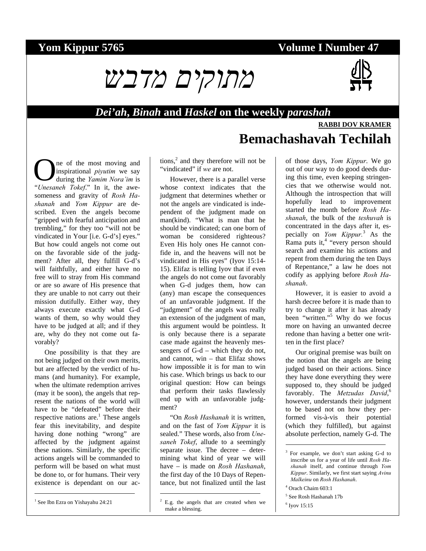# **Yom Kippur 5765** Volume I Number 47

*מתוקים מדבש*



**RABBI DOV KRAMER**

## *Dei'ah***,** *Binah* **and** *Haskel* **on the weekly** *parashah*

ne of the most moving and inspirational *piyutim* we say during the *Yamim Nora'im* is **1** Inspirational *piyutim* we say during the *Yamim Nora'im* is "*Unesaneh Tokef*." In it, the awesomeness and gravity of *Rosh Hashanah* and *Yom Kippur* are described. Even the angels become "gripped with fearful anticipation and trembling," for they too "will not be vindicated in Your [i.e. G-d's] eyes." But how could angels not come out on the favorable side of the judgment? After all, they fulfill G-d's will faithfully, and either have no free will to stray from His command or are so aware of His presence that they are unable to not carry out their mission dutifully. Either way, they always execute exactly what G-d wants of them, so why would they have to be judged at all; and if they are, why do they not come out favorably?

One possibility is that they are not being judged on their own merits, but are affected by the verdict of humans (and humanity). For example, when the ultimate redemption arrives (may it be soon), the angels that represent the nations of the world will have to be "defeated" before their respective nations are.<sup>1</sup> These angels fear this inevitability, and despite having done nothing "wrong" are affected by the judgment against these nations. Similarly, the specific actions angels will be commanded to perform will be based on what must be done to, or for humans. Their very existence is dependant on our ac-

1 See Ibn Ezra on Yishayahu 24:21

l

tions, $<sup>2</sup>$  and they therefore will not be</sup> "vindicated" if *we* are not.

However, there is a parallel verse whose context indicates that the judgment that determines whether or not the angels are vindicated is independent of the judgment made on man(kind). "What is man that he should be vindicated; can one born of woman be considered righteous? Even His holy ones He cannot confide in, and the heavens will not be vindicated in His eyes" (Iyov 15:14- 15). Elifaz is telling Iyov that if even the angels do not come out favorably when G-d judges them, how can (any) man escape the consequences of an unfavorable judgment. If the "judgment" of the angels was really an extension of the judgment of man, this argument would be pointless. It is only because there is a separate case made against the heavenly messengers of G-d – which they do not, and cannot, win – that Elifaz shows how impossible it is for man to win his case. Which brings us back to our original question: How can beings that perform their tasks flawlessly end up with an unfavorable judgment?

"On *Rosh Hashanah* it is written, and on the fast of *Yom Kippur* it is sealed." These words, also from *Unesaneh Tokef*, allude to a seemingly separate issue. The decree – determining what kind of year we will have – is made on *Rosh Hashanah*, the first day of the 10 Days of Repentance, but not finalized until the last

-

# **Bemachashavah Techilah**

of those days, *Yom Kippur*. We go out of our way to do good deeds during this time, even keeping stringencies that we otherwise would not. Although the introspection that will hopefully lead to improvement started the month before *Rosh Hashanah*, the bulk of the *teshuvah* is concentrated in the days after it, especially on *Yom Kippur.*<sup>3</sup> As the Rama puts it,<sup>4</sup> "every person should search and examine his actions and repent from them during the ten Days of Repentance," a law he does not codify as applying before *Rosh Hashanah*.

However, it is easier to avoid a harsh decree before it is made than to try to change it after it has already been "written."5 Why do we focus more on having an unwanted decree redone than having a better one written in the first place?

Our original premise was built on the notion that the angels are being judged based on their actions. Since they have done everything they were supposed to, they should be judged favorably. The *Metzudas David*, 6 however, understands their judgment to be based not on how they performed vis-à-vis their potential (which they fulfilled), but against absolute perfection, namely G-d. The

- 5 See Rosh Hashanah 17b
- 6 Iyov 15:15

 $\overline{\phantom{a}}$ 

<sup>2</sup> E.g. the angels that are created when we make a blessing.

<sup>&</sup>lt;sup>3</sup> For example, we don't start asking G-d to inscribe us for a year of life until *Rosh Hashanah* itself, and continue through *Yom Kippur*. Similarly, we first start saying *Avinu Malkeinu* on *Rosh Hashanah*.

<sup>4</sup> Orach Chaim 603:1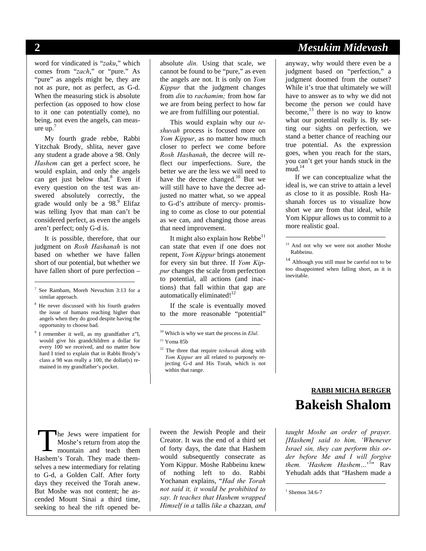l

word for vindicated is "*zaku*," which comes from "*zach*," or "pure." As "pure" as angels might be, they are not as pure, not as perfect, as G-d. When the measuring stick is absolute perfection (as opposed to how close to it one can potentially come), no being, not even the angels, can measure up. $<sup>7</sup>$ </sup>

My fourth grade rebbe, Rabbi Yitzchak Brody, shlita, never gave any student a grade above a 98. Only *Hashem* can get a perfect score, he would explain, and only the angels can get just below that. $8$  Even if every question on the test was answered absolutely correctly, the grade would only be a  $98.<sup>9</sup>$  Elifaz was telling Iyov that man can't be considered perfect, as even the angels aren't perfect; only G-d is.

It is possible, therefore, that our judgment on *Rosh Hashanah* is not based on whether we have fallen short of our potential, but whether we have fallen short of pure perfection –

- 7 See Rambam, Moreh Nevuchim 3:13 for a similar approach.
- 8 He never discussed with his fourth graders the issue of humans reaching higher than angels when they do good despite having the opportunity to choose bad.
- 9 I remember it well, as my grandfather z"l, would give his grandchildren a dollar for every 100 we received, and no matter how hard I tried to explain that in Rabbi Brody's class a 98 was really a 100, the dollar(s) remained in my grandfather's pocket.

absolute *din.* Using that scale, we cannot be found to be "pure," as even the angels are not. It is only on *Yom Kippur* that the judgment changes from *din* to *rachamim;* from how far we are from being perfect to how far we are from fulfilling our potential.

This would explain why our *teshuvah* process is focused more on *Yom Kippur*, as no matter how much closer to perfect we come before *Rosh Hashanah*, the decree will reflect our imperfections. Sure, the better we are the less we will need to have the decree changed. $10$  But we will still have to have the decree adjusted no matter what, so we appeal to G-d's attribute of mercy- promising to come as close to our potential as we can, and changing those areas that need improvement.

It might also explain how  $Rebbe<sup>11</sup>$ can state that even if one does not repent, *Yom Kippur* brings atonement for every sin but three. If *Yom Kippur* changes the scale from perfection to potential, all actions (and inactions) that fall within that gap are automatically eliminated!<sup>12</sup>

If the scale is eventually moved to the more reasonable "potential"

-

he Jews were impatient for Moshe's return from atop the mountain and teach them Hashem's Torah. They made themselves a new intermediary for relating to G-d, a Golden Calf. After forty days they received the Torah anew. But Moshe was not content; he ascended Mount Sinai a third time, seeking to heal the rift opened be-T

tween the Jewish People and their Creator. It was the end of a third set of forty days, the date that Hashem would subsequently consecrate as Yom Kippur. Moshe Rabbeinu knew of nothing left to do. Rabbi Yochanan explains, "*Had the Torah not said it, it would be prohibited to say. It teaches that Hashem wrapped Himself in a* tallis *like a* chazzan*, and* 

# **2** *Mesukim Midevash*

anyway, why would there even be a judgment based on "perfection," a judgment doomed from the outset? While it's true that ultimately we will have to answer as to why we did not become the person we could have become, $^{13}$  there is no way to know what our potential really is. By setting our sights on perfection, we stand a better chance of reaching our true potential. As the expression goes, when you reach for the stars, you can't get your hands stuck in the  $mud.<sup>14</sup>$ 

If we can conceptualize what the ideal is, we can strive to attain a level as close to it as possible. Rosh Hashanah forces us to visualize how short we are from that ideal, while Yom Kippur allows us to commit to a more realistic goal.

<sup>13</sup> And not why we were not another Moshe Rabbeinu.

 $\overline{\phantom{a}}$ 

<sup>14</sup> Although you still must be careful not to be too disappointed when falling short, as it is inevitable.

# **RABBI MICHA BERGER Bakeish Shalom**

*taught Moshe an order of prayer. [Hashem] said to him, 'Whenever Israel sin, they can perform this order before Me and I will forgive*  them. 'Hashem Hashem...'<sup>1</sup>" Rav Yehudah adds that "Hashem made a

1 Shemos 34:6-7

 $\overline{\phantom{a}}$ 

<sup>10</sup> Which is why we start the process in *Elul*.  $11$  Yoma 85b

<sup>12</sup> The three that require *teshuvah* along with *Yom Kippur* are all related to purposely rejecting G-d and His Torah, which is not within that range.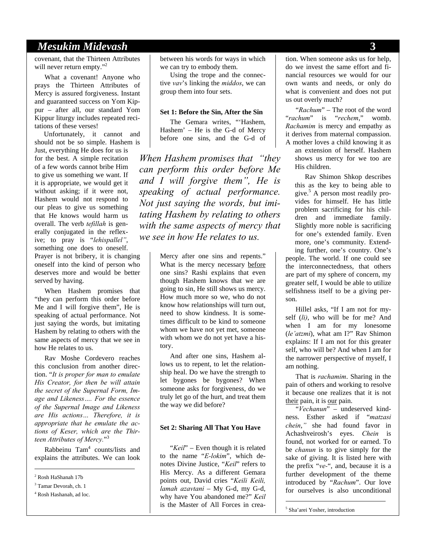# *Mesukim Midevash* **3**

covenant, that the Thirteen Attributes will never return empty."<sup>2</sup>

What a covenant! Anyone who prays the Thirteen Attributes of Mercy is assured forgiveness. Instant and guaranteed success on Yom Kippur – after all, our standard Yom Kippur liturgy includes repeated recitations of these verses!

Unfortunately, it cannot and should not be so simple. Hashem is Just, everything He does for us is for the best. A simple recitation of a few words cannot bribe Him to give us something we want. If it is appropriate, we would get it without asking; if it were not, Hashem would not respond to our pleas to give us something that He knows would harm us overall. The verb *tefillah* is generally conjugated in the reflexive; to pray is "*lehispallel"*, something one does to oneself. Prayer is not bribery, it is changing oneself into the kind of person who deserves more and would be better served by having.

When Hashem promises that "they can perform this order before Me and I will forgive them", He is speaking of actual performance. Not just saying the words, but imitating Hashem by relating to others with the same aspects of mercy that we see in how He relates to us.

Rav Moshe Cordevero reaches this conclusion from another direction. "*It is proper for man to emulate His Creator, for then be will attain the secret of the Supernal Form, Image and Likeness…. For the essence of the Supernal Image and Likeness are His actions… Therefore, it is appropriate that he emulate the actions of Keser, which are the Thirteen Attributes of Mercy.*" 3

Rabbeinu Tam<sup>4</sup> counts/lists and explains the attributes. We can look

l

4 Rosh Hashanah, ad loc.

between his words for ways in which we can try to embody them.

Using the trope and the connective *vav*'s linking the *middos*, we can group them into four sets.

#### **Set 1: Before the Sin, After the Sin**

The Gemara writes, "'Hashem, Hashem' – He is the G-d of Mercy before one sins, and the G-d of

*When Hashem promises that "they can perform this order before Me and I will forgive them", He is speaking of actual performance. Not just saying the words, but imitating Hashem by relating to others with the same aspects of mercy that we see in how He relates to us.* 

> Mercy after one sins and repents." What is the mercy necessary before one sins? Rashi explains that even though Hashem knows that we are going to sin, He still shows us mercy. How much more so we, who do not know how relationships will turn out, need to show kindness. It is sometimes difficult to be kind to someone whom we have not yet met, someone with whom we do not yet have a history.

> And after one sins, Hashem allows us to repent, to let the relationship heal. Do we have the strength to let bygones be bygones? When someone asks for forgiveness, do we truly let go of the hurt, and treat them the way we did before?

#### **Set 2: Sharing All That You Have**

"*Keil*" – Even though it is related to the name "*E-lokim*", which denotes Divine Justice, "*Keil*" refers to His Mercy. As a different Gemara points out, David cries "*Keili Keili, lamah azavtani* – My G-d, my G-d, why have You abandoned me?" *Keil* is the Master of All Forces in creation. When someone asks us for help, do we invest the same effort and financial resources we would for our own wants and needs, or only do what is convenient and does not put us out overly much?

"*Rachum*" – The root of the word "*rachum*" is "*rechem*," womb. *Rachamim* is mercy and empathy as it derives from maternal compassion. A mother loves a child knowing it as an extension of herself. Hashem

shows us mercy for we too are His children.

Rav Shimon Shkop describes this as the key to being able to give.<sup>5</sup> A person most readily provides for himself. He has little problem sacrificing for his children and immediate family. Slightly more noble is sacrificing for one's extended family. Even more, one's community. Extending further, one's country. One's

people. The world. If one could see the interconnectedness, that others are part of my sphere of concern, my greater self, I would be able to utilize selfishness itself to be a giving person.

Hillel asks, "If I am not for myself (*li)*, who will be for me? And when I am for my lonesome (*le'atzmi*), what am I?" Rav Shimon explains: If I am not for this greater self, who will be? And when I am for the narrower perspective of myself, I am nothing.

That is *rachamim*. Sharing in the pain of others and working to resolve it because one realizes that it is not their pain, it is our pain.

"*Vechanun*" – undeserved kindness. Esther asked if "*matzasi chein*,*"* she had found favor in Achashveirosh's eyes. *Chein* is found, not worked for or earned. To be *chanun* is to give simply for the sake of giving. It is listed here with the prefix "*ve-*", and, because it is a further development of the theme introduced by "*Rachum*". Our love for ourselves is also unconditional

5 Sha'arei Yosher, introduction

 $\overline{\phantom{a}}$ 

<sup>2</sup> Rosh HaShanah 17b

<sup>&</sup>lt;sup>3</sup> Tamar Devorah, ch. 1